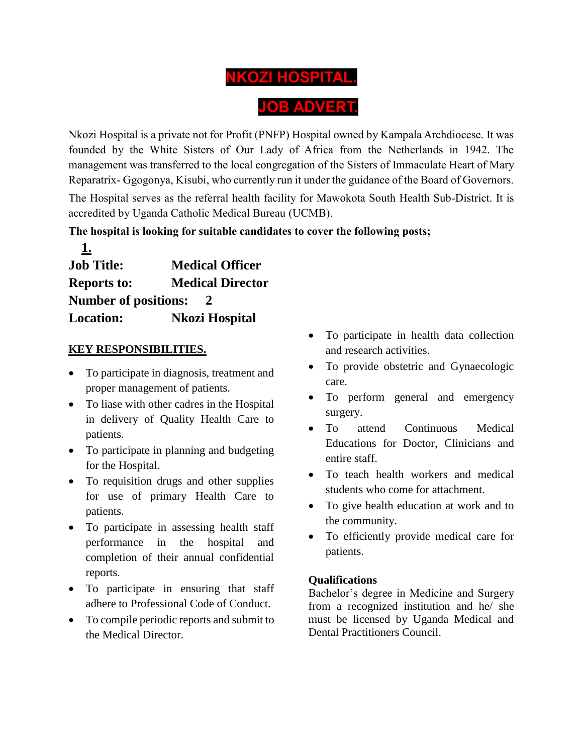# **NKOZI HOSPITAL. JOB ADVERT.**

Nkozi Hospital is a private not for Profit (PNFP) Hospital owned by Kampala Archdiocese. It was founded by the White Sisters of Our Lady of Africa from the Netherlands in 1942. The management was transferred to the local congregation of the Sisters of Immaculate Heart of Mary Reparatrix- Ggogonya, Kisubi, who currently run it under the guidance of the Board of Governors. The Hospital serves as the referral health facility for Mawokota South Health Sub-District. It is accredited by Uganda Catholic Medical Bureau (UCMB).

## **The hospital is looking for suitable candidates to cover the following posts;**

| <b>Job Title:</b>           | <b>Medical Officer</b>  |
|-----------------------------|-------------------------|
| <b>Reports to:</b>          | <b>Medical Director</b> |
| <b>Number of positions:</b> | 2                       |
| <b>Location:</b>            | <b>Nkozi Hospital</b>   |

## **KEY RESPONSIBILITIES.**

**1.**

- To participate in diagnosis, treatment and proper management of patients.
- To liase with other cadres in the Hospital in delivery of Quality Health Care to patients.
- To participate in planning and budgeting for the Hospital.
- To requisition drugs and other supplies for use of primary Health Care to patients.
- To participate in assessing health staff performance in the hospital and completion of their annual confidential reports.
- To participate in ensuring that staff adhere to Professional Code of Conduct.
- To compile periodic reports and submit to the Medical Director.
- To participate in health data collection and research activities.
- To provide obstetric and Gynaecologic care.
- To perform general and emergency surgery.
- To attend Continuous Medical Educations for Doctor, Clinicians and entire staff.
- To teach health workers and medical students who come for attachment.
- To give health education at work and to the community.
- To efficiently provide medical care for patients.

### **Qualifications**

Bachelor's degree in Medicine and Surgery from a recognized institution and he/ she must be licensed by Uganda Medical and Dental Practitioners Council.